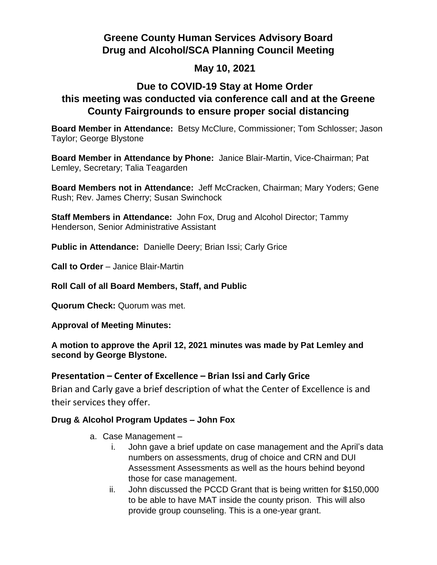# **Greene County Human Services Advisory Board Drug and Alcohol/SCA Planning Council Meeting**

### **May 10, 2021**

## **Due to COVID-19 Stay at Home Order this meeting was conducted via conference call and at the Greene County Fairgrounds to ensure proper social distancing**

**Board Member in Attendance:** Betsy McClure, Commissioner; Tom Schlosser; Jason Taylor; George Blystone

**Board Member in Attendance by Phone:** Janice Blair-Martin, Vice-Chairman; Pat Lemley, Secretary; Talia Teagarden

**Board Members not in Attendance:** Jeff McCracken, Chairman; Mary Yoders; Gene Rush; Rev. James Cherry; Susan Swinchock

**Staff Members in Attendance:** John Fox, Drug and Alcohol Director; Tammy Henderson, Senior Administrative Assistant

**Public in Attendance:** Danielle Deery; Brian Issi; Carly Grice

**Call to Order** – Janice Blair-Martin

**Roll Call of all Board Members, Staff, and Public**

**Quorum Check:** Quorum was met.

**Approval of Meeting Minutes:**

#### **A motion to approve the April 12, 2021 minutes was made by Pat Lemley and second by George Blystone.**

#### **Presentation – Center of Excellence – Brian Issi and Carly Grice**

Brian and Carly gave a brief description of what the Center of Excellence is and their services they offer.

#### **Drug & Alcohol Program Updates – John Fox**

- a. Case Management
	- i. John gave a brief update on case management and the April's data numbers on assessments, drug of choice and CRN and DUI Assessment Assessments as well as the hours behind beyond those for case management.
	- ii. John discussed the PCCD Grant that is being written for \$150,000 to be able to have MAT inside the county prison. This will also provide group counseling. This is a one-year grant.